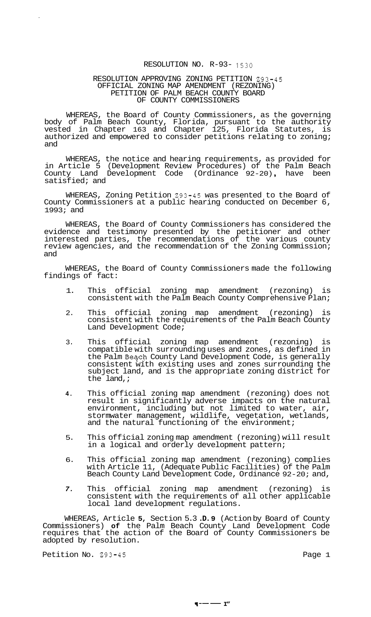## RESOLUTION NO. R-93- 1530

## RESOLUTION APPROVING ZONING PETITION 293-45 PETITION OF PALM BEACH COUNTY BOARD OF COUNTY COMMISSIONERS OFFICIAL ZONING MAP AMENDMENT (REZONING)

WHEREAS, the Board of County Commissioners, as the governing body of Palm Beach County, Florida, pursuant to the authority vested in Chapter 163 and Chapter 125, Florida Statutes, is authorized and empowered to consider petitions relating to zoning; and

WHEREAS, the notice and hearing requirements, as provided for in Article 5 (Development Review Procedures) of the Palm Beach County Land Development Code (Ordinance 92-20) , have been satisfied; and

WHEREAS, Zoning Petition 293-45 was presented to the Board of County Commissioners at a public hearing conducted on December 6, 1993; and

WHEREAS, the Board of County Commissioners has considered the evidence and testimony presented by the petitioner and other interested parties, the recommendations of the various county review agencies, and the recommendation of the Zoning Commission; and

WHEREAS, the Board of County Commissioners made the following findings of fact:

- 1. This official zoning map amendment (rezoning) is consistent with the Palm Beach County Comprehensive Plan;
- 2. This official zoning map amendment (rezoning) is consistent with the requirements of the Palm Beach County Land Development Code;
- 3. This official zoning map amendment (rezoning) is compatible with surrounding uses and zones, as defined in the Palm Beqch County Land Development Code, is generally consistent with existing uses and zones surrounding the subject land, and is the appropriate zoning district for the land, ;
- **4.**  This official zoning map amendment (rezoning) does not result in significantly adverse impacts on the natural environment, including but not limited to water, air, stormwater management, wildlife, vegetation, wetlands, and the natural functioning of the environment;
- 5. This official zoning map amendment (rezoning) will result in a logical and orderly development pattern;
- 6. This official zoning map amendment (rezoning) complies with Article 11, (Adequate Public Facilities) of the Palm Beach County Land Development Code, Ordinance 92-20; and,
- *7.*  This official zoning map amendment (rezoning) is consistent with the requirements of all other applicable local land development regulations.

WHEREAS, Article **5,** Section 5.3 **.D. 9** (Action by Board of County Commissioners) **of** the Palm Beach County Land Development Code requires that the action of the Board of County Commissioners be adopted by resolution.

Petition No. 293-45 Page 1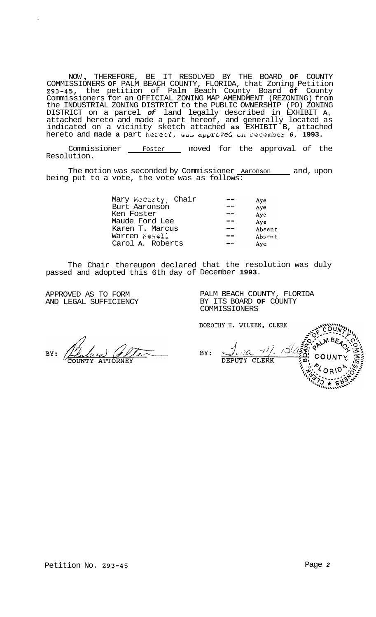NOW , THEREFORE, BE IT RESOLVED BY THE BOARD **OF** COUNTY COMMISSIONERS **OF** PALM BEACH COUNTY, FLORIDA, that Zoning Petition **293-45,** the petition of Palm Beach County Board **of** County Commissioners for an OFFICIAL ZONING MAP AMENDMENT (REZONING) from the INDUSTRIAL ZONING DISTRICT to the PUBLIC OWNERSHIP (PO) ZONING DISTRICT on a parcel *of* land legally described in EXHIBIT **A,**  attached hereto and made a part hereof, and generally located as indicated on a vicinity sketch attached **as** EXHIBIT B, attached hereto and made **a** part hezeef, *\*ui.* ccpi,irc:wzC *UII* oecember *6,* **1993.** 

Commissioner \_\_\_\_ Foster \_\_\_\_ moved for the approval of the Resolution.

The motion was seconded by Commissioner Aaronson and, upon being put to a vote, the vote was as follows:

| Mary McCarty, Chair | Aye    |
|---------------------|--------|
| Burt Aaronson       | Aye    |
| Ken Foster          | Aye    |
| Maude Ford Lee      | Aye    |
| Karen T. Marcus     | Absent |
| Warren Newell       | Absent |
| Carol A. Roberts    | Ave    |

The Chair thereupon declared that the resolution was duly passed and adopted this 6th day of December **1993.** 

APPROVED AS TO FORM AND LEGAL SUFFICIENCY PALM BEACH COUNTY, FLORIDA BY ITS BOARD **OF** COUNTY COMMISSIONERS

DOROTHY H. WILKEN, CLERK

BY:

 $-\frac{1}{2}$  $BY:$ ) ICi DEPUTY CLERK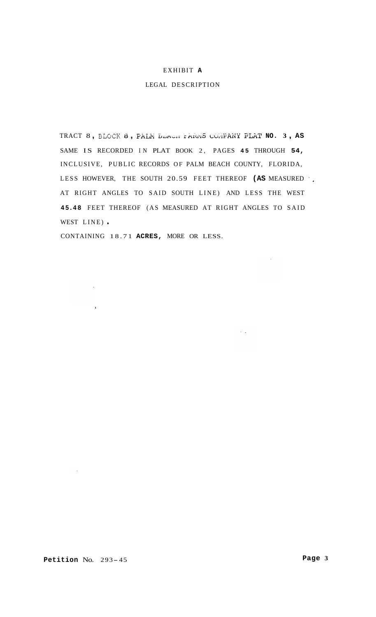## EXHIBIT **A**

## LEGAL DESCRIPTION

TRACT 8 , **ELOCK i3** , FA3i **Lviiril** i.Wii& uC;,iF.ANii FLAT **NO. <sup>3</sup>**, **AS**  SAME IS RECORDED IN PLAT BOOK 2, PAGES **45** THROUGH **54,**  INCLUSIVE, PUBLIC RECORDS OF PALM BEACH COUNTY, FLORIDA, LESS HOWEVER, THE SOUTH 20.59 FEET THEREOF **(AS** MEASURED ', AT RIGHT ANGLES TO SAID SOUTH LINE) AND LESS THE WEST **45.48** FEET THEREOF (AS MEASURED AT RIGHT ANGLES TO SAID WEST LINE).

 $\sim$ 

 $\sim 10$ 

CONTAINING 18.71 **ACRES,** MORE OR LESS.

 $\sim 10^{11}$ 

 $\sim 10^{-10}$ 

 $\sim 10^{-11}$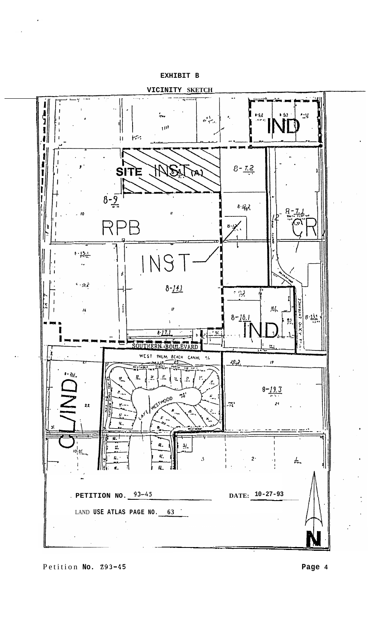**EXHIBIT B** 



Petition **No. 293-45 Page 4** 

..